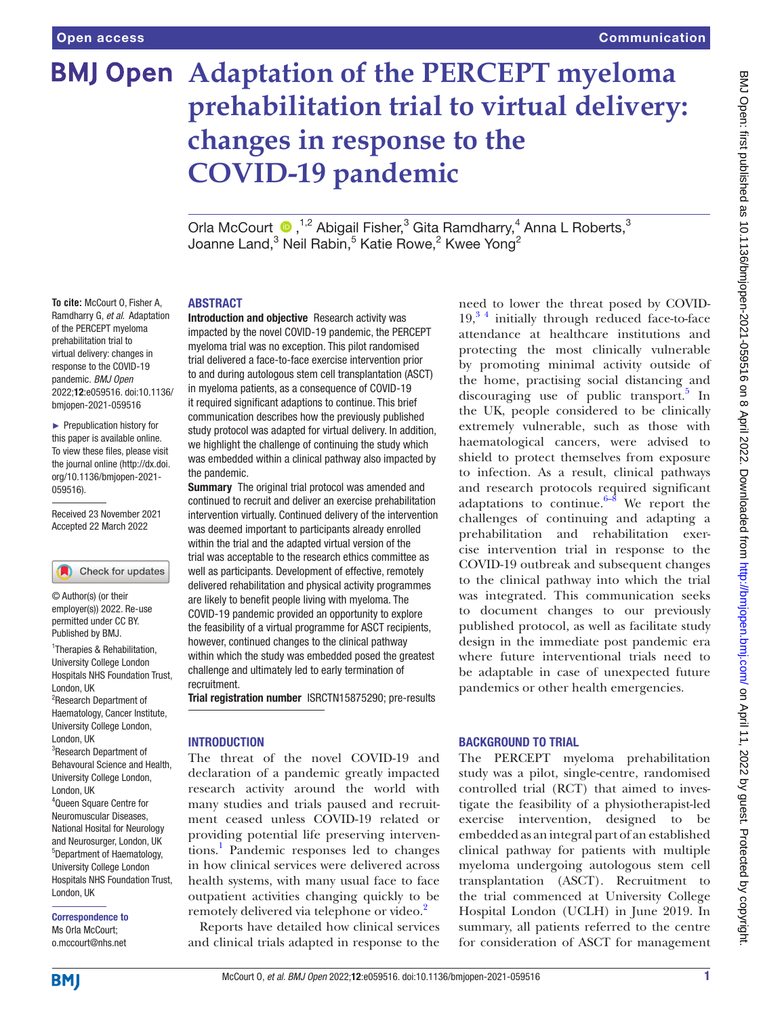**To cite:** McCourt O, Fisher A,

of the PERCEPT myeloma prehabilitation trial to virtual delivery: changes in response to the COVID-19 pandemic. *BMJ Open*

bmjopen-2021-059516 ► Prepublication history for

Received 23 November 2021 Accepted 22 March 2022

Check for updates

<sup>1</sup>Therapies & Rehabilitation, University College London Hospitals NHS Foundation Trust,

© Author(s) (or their employer(s)) 2022. Re-use permitted under CC BY. Published by BMJ.

<sup>2</sup>Research Department of Haematology, Cancer Institute, University College London,

<sup>3</sup>Research Department of Behavoural Science and Health, University College London,

4 Queen Square Centre for Neuromuscular Diseases, National Hosital for Neurology and Neurosurger, London, UK 5 Department of Haematology, University College London Hospitals NHS Foundation Trust,

London, UK

London, UK

London, UK

London, UK

Correspondence to Ms Orla McCourt; o.mccourt@nhs.net

[059516\)](http://dx.doi.org/10.1136/bmjopen-2021-059516).

# **BMJ Open Adaptation of the PERCEPT myeloma prehabilitation trial to virtual delivery: changes in response to the COVID-19 pandemic**

OrlaMcCourt <sup>1,2</sup> Abigail Fisher,<sup>3</sup> Gita Ramdharry,<sup>4</sup> Anna L Roberts,<sup>3</sup> Joanne Land, $^3$  Neil Rabin, $^5$  Katie Rowe, $^2$  Kwee Yong $^2$ 

#### ABSTRACT

Ramdharry G, *et al*. Adaptation 2022;12:e059516. doi:10.1136/ this paper is available online. To view these files, please visit the journal online [\(http://dx.doi.](http://dx.doi.org/10.1136/bmjopen-2021-059516) [org/10.1136/bmjopen-2021-](http://dx.doi.org/10.1136/bmjopen-2021-059516) Introduction and objective Research activity was impacted by the novel COVID-19 pandemic, the PERCEPT myeloma trial was no exception. This pilot randomised trial delivered a face-to-face exercise intervention prior to and during autologous stem cell transplantation (ASCT) in myeloma patients, as a consequence of COVID-19 it required significant adaptions to continue. This brief communication describes how the previously published study protocol was adapted for virtual delivery. In addition, we highlight the challenge of continuing the study which was embedded within a clinical pathway also impacted by the pandemic.

**Summary** The original trial protocol was amended and continued to recruit and deliver an exercise prehabilitation intervention virtually. Continued delivery of the intervention was deemed important to participants already enrolled within the trial and the adapted virtual version of the trial was acceptable to the research ethics committee as well as participants. Development of effective, remotely delivered rehabilitation and physical activity programmes are likely to benefit people living with myeloma. The COVID-19 pandemic provided an opportunity to explore the feasibility of a virtual programme for ASCT recipients, however, continued changes to the clinical pathway within which the study was embedded posed the greatest challenge and ultimately led to early termination of recruitment.

Trial registration number [ISRCTN15875290; pre-results](ISRCTN15875290)

#### **INTRODUCTION**

The threat of the novel COVID-19 and declaration of a pandemic greatly impacted research activity around the world with many studies and trials paused and recruitment ceased unless COVID-19 related or providing potential life preserving interven-tions.<sup>[1](#page-3-0)</sup> Pandemic responses led to changes in how clinical services were delivered across health systems, with many usual face to face outpatient activities changing quickly to be remotely delivered via telephone or video.<sup>[2](#page-3-1)</sup>

Reports have detailed how clinical services and clinical trials adapted in response to the

need to lower the threat posed by COVID- $19<sup>3</sup>$ <sup>4</sup> initially through reduced face-to-face attendance at healthcare institutions and protecting the most clinically vulnerable by promoting minimal activity outside of the home, practising social distancing and discouraging use of public transport.<sup>[5](#page-3-3)</sup> In the UK, people considered to be clinically extremely vulnerable, such as those with haematological cancers, were advised to shield to protect themselves from exposure to infection. As a result, clinical pathways and research protocols required significant adaptations to continue. $6-8$  We report the challenges of continuing and adapting a prehabilitation and rehabilitation exercise intervention trial in response to the COVID-19 outbreak and subsequent changes to the clinical pathway into which the trial was integrated. This communication seeks to document changes to our previously published protocol, as well as facilitate study design in the immediate post pandemic era where future interventional trials need to be adaptable in case of unexpected future pandemics or other health emergencies.

## BACKGROUND TO TRIAL

The PERCEPT myeloma prehabilitation study was a pilot, single-centre, randomised controlled trial (RCT) that aimed to investigate the feasibility of a physiotherapist-led exercise intervention, designed to be embedded as an integral part of an established clinical pathway for patients with multiple myeloma undergoing autologous stem cell transplantation (ASCT). Recruitment to the trial commenced at University College Hospital London (UCLH) in June 2019. In summary, all patients referred to the centre for consideration of ASCT for management

**BMI**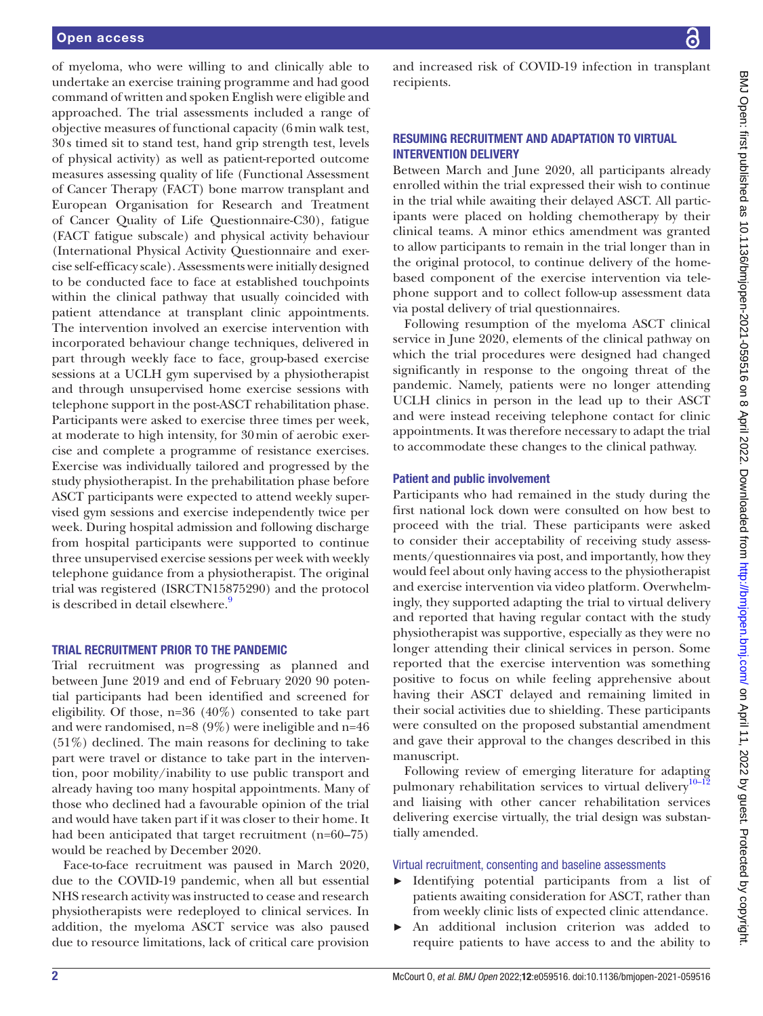of myeloma, who were willing to and clinically able to undertake an exercise training programme and had good command of written and spoken English were eligible and approached. The trial assessments included a range of objective measures of functional capacity (6min walk test, 30s timed sit to stand test, hand grip strength test, levels of physical activity) as well as patient-reported outcome measures assessing quality of life (Functional Assessment of Cancer Therapy (FACT) bone marrow transplant and European Organisation for Research and Treatment of Cancer Quality of Life Questionnaire-C30), fatigue (FACT fatigue subscale) and physical activity behaviour (International Physical Activity Questionnaire and exercise self-efficacy scale). Assessments were initially designed to be conducted face to face at established touchpoints within the clinical pathway that usually coincided with patient attendance at transplant clinic appointments. The intervention involved an exercise intervention with incorporated behaviour change techniques, delivered in part through weekly face to face, group-based exercise sessions at a UCLH gym supervised by a physiotherapist and through unsupervised home exercise sessions with telephone support in the post-ASCT rehabilitation phase. Participants were asked to exercise three times per week, at moderate to high intensity, for 30min of aerobic exercise and complete a programme of resistance exercises. Exercise was individually tailored and progressed by the study physiotherapist. In the prehabilitation phase before ASCT participants were expected to attend weekly supervised gym sessions and exercise independently twice per week. During hospital admission and following discharge from hospital participants were supported to continue three unsupervised exercise sessions per week with weekly telephone guidance from a physiotherapist. The original trial was registered (ISRCTN15875290) and the protocol is described in detail elsewhere.<sup>9</sup>

## TRIAL RECRUITMENT PRIOR TO THE PANDEMIC

Trial recruitment was progressing as planned and between June 2019 and end of February 2020 90 potential participants had been identified and screened for eligibility. Of those, n=36 (40%) consented to take part and were randomised, n=8 (9%) were ineligible and n=46 (51%) declined. The main reasons for declining to take part were travel or distance to take part in the intervention, poor mobility/inability to use public transport and already having too many hospital appointments. Many of those who declined had a favourable opinion of the trial and would have taken part if it was closer to their home. It had been anticipated that target recruitment (n=60–75) would be reached by December 2020.

Face-to-face recruitment was paused in March 2020, due to the COVID-19 pandemic, when all but essential NHS research activity was instructed to cease and research physiotherapists were redeployed to clinical services. In addition, the myeloma ASCT service was also paused due to resource limitations, lack of critical care provision

and increased risk of COVID-19 infection in transplant recipients.

## RESUMING RECRUITMENT AND ADAPTATION TO VIRTUAL INTERVENTION DELIVERY

Between March and June 2020, all participants already enrolled within the trial expressed their wish to continue in the trial while awaiting their delayed ASCT. All participants were placed on holding chemotherapy by their clinical teams. A minor ethics amendment was granted to allow participants to remain in the trial longer than in the original protocol, to continue delivery of the homebased component of the exercise intervention via telephone support and to collect follow-up assessment data via postal delivery of trial questionnaires.

Following resumption of the myeloma ASCT clinical service in June 2020, elements of the clinical pathway on which the trial procedures were designed had changed significantly in response to the ongoing threat of the pandemic. Namely, patients were no longer attending UCLH clinics in person in the lead up to their ASCT and were instead receiving telephone contact for clinic appointments. It was therefore necessary to adapt the trial to accommodate these changes to the clinical pathway.

#### Patient and public involvement

Participants who had remained in the study during the first national lock down were consulted on how best to proceed with the trial. These participants were asked to consider their acceptability of receiving study assessments/questionnaires via post, and importantly, how they would feel about only having access to the physiotherapist and exercise intervention via video platform. Overwhelmingly, they supported adapting the trial to virtual delivery and reported that having regular contact with the study physiotherapist was supportive, especially as they were no longer attending their clinical services in person. Some reported that the exercise intervention was something positive to focus on while feeling apprehensive about having their ASCT delayed and remaining limited in their social activities due to shielding. These participants were consulted on the proposed substantial amendment and gave their approval to the changes described in this manuscript.

Following review of emerging literature for adapting pulmonary rehabilitation services to virtual delivery<sup>[10–12](#page-3-6)</sup> and liaising with other cancer rehabilitation services delivering exercise virtually, the trial design was substantially amended.

Virtual recruitment, consenting and baseline assessments

- ► Identifying potential participants from a list of patients awaiting consideration for ASCT, rather than from weekly clinic lists of expected clinic attendance.
- ► An additional inclusion criterion was added to require patients to have access to and the ability to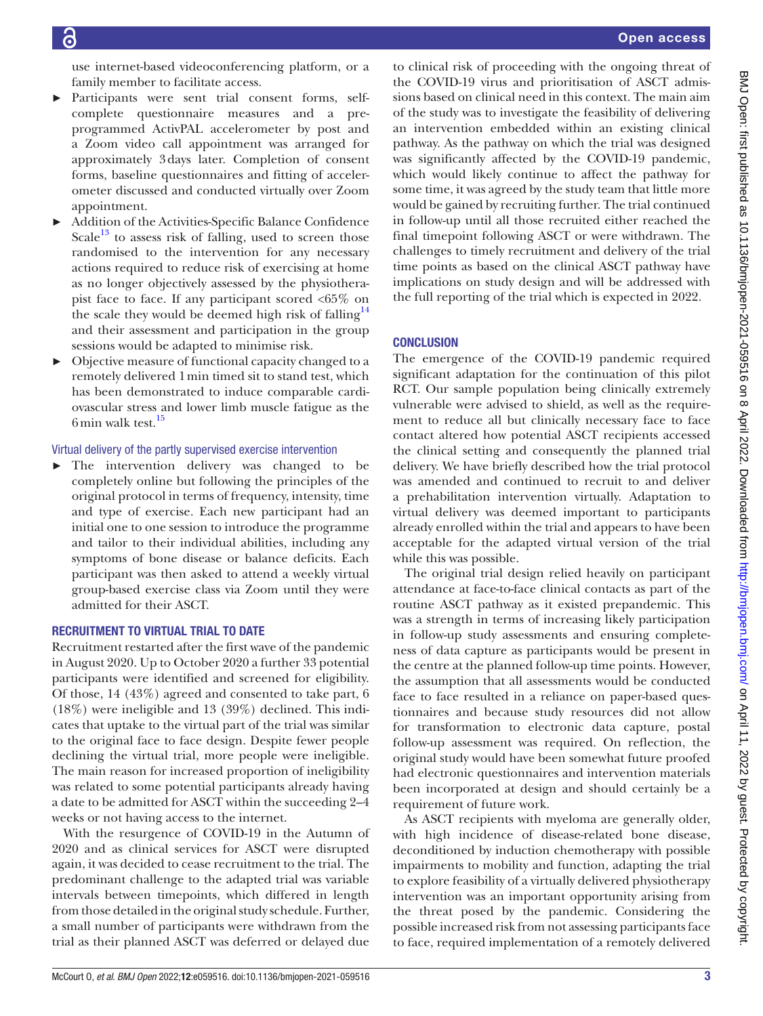use internet-based videoconferencing platform, or a family member to facilitate access.

- Participants were sent trial consent forms, selfcomplete questionnaire measures and a preprogrammed ActivPAL accelerometer by post and a Zoom video call appointment was arranged for approximately 3days later. Completion of consent forms, baseline questionnaires and fitting of accelerometer discussed and conducted virtually over Zoom appointment.
- Addition of the Activities-Specific Balance Confidence Scale<sup>13</sup> to assess risk of falling, used to screen those randomised to the intervention for any necessary actions required to reduce risk of exercising at home as no longer objectively assessed by the physiotherapist face to face. If any participant scored <65% on the scale they would be deemed high risk of falling<sup>14</sup> and their assessment and participation in the group sessions would be adapted to minimise risk.
- ► Objective measure of functional capacity changed to a remotely delivered 1min timed sit to stand test, which has been demonstrated to induce comparable cardiovascular stress and lower limb muscle fatigue as the 6min walk test.<sup>[15](#page-3-9)</sup>

## Virtual delivery of the partly supervised exercise intervention

► The intervention delivery was changed to be completely online but following the principles of the original protocol in terms of frequency, intensity, time and type of exercise. Each new participant had an initial one to one session to introduce the programme and tailor to their individual abilities, including any symptoms of bone disease or balance deficits. Each participant was then asked to attend a weekly virtual group-based exercise class via Zoom until they were admitted for their ASCT.

## RECRUITMENT TO VIRTUAL TRIAL TO DATE

Recruitment restarted after the first wave of the pandemic in August 2020. Up to October 2020 a further 33 potential participants were identified and screened for eligibility. Of those, 14 (43%) agreed and consented to take part, 6 (18%) were ineligible and 13 (39%) declined. This indicates that uptake to the virtual part of the trial was similar to the original face to face design. Despite fewer people declining the virtual trial, more people were ineligible. The main reason for increased proportion of ineligibility was related to some potential participants already having a date to be admitted for ASCT within the succeeding 2–4 weeks or not having access to the internet.

With the resurgence of COVID-19 in the Autumn of 2020 and as clinical services for ASCT were disrupted again, it was decided to cease recruitment to the trial. The predominant challenge to the adapted trial was variable intervals between timepoints, which differed in length from those detailed in the original study schedule. Further, a small number of participants were withdrawn from the trial as their planned ASCT was deferred or delayed due

to clinical risk of proceeding with the ongoing threat of the COVID-19 virus and prioritisation of ASCT admissions based on clinical need in this context. The main aim of the study was to investigate the feasibility of delivering an intervention embedded within an existing clinical pathway. As the pathway on which the trial was designed was significantly affected by the COVID-19 pandemic, which would likely continue to affect the pathway for some time, it was agreed by the study team that little more would be gained by recruiting further. The trial continued in follow-up until all those recruited either reached the final timepoint following ASCT or were withdrawn. The challenges to timely recruitment and delivery of the trial time points as based on the clinical ASCT pathway have implications on study design and will be addressed with the full reporting of the trial which is expected in 2022.

## **CONCLUSION**

The emergence of the COVID-19 pandemic required significant adaptation for the continuation of this pilot RCT. Our sample population being clinically extremely vulnerable were advised to shield, as well as the requirement to reduce all but clinically necessary face to face contact altered how potential ASCT recipients accessed the clinical setting and consequently the planned trial delivery. We have briefly described how the trial protocol was amended and continued to recruit to and deliver a prehabilitation intervention virtually. Adaptation to virtual delivery was deemed important to participants already enrolled within the trial and appears to have been acceptable for the adapted virtual version of the trial while this was possible.

The original trial design relied heavily on participant attendance at face-to-face clinical contacts as part of the routine ASCT pathway as it existed prepandemic. This was a strength in terms of increasing likely participation in follow-up study assessments and ensuring completeness of data capture as participants would be present in the centre at the planned follow-up time points. However, the assumption that all assessments would be conducted face to face resulted in a reliance on paper-based questionnaires and because study resources did not allow for transformation to electronic data capture, postal follow-up assessment was required. On reflection, the original study would have been somewhat future proofed had electronic questionnaires and intervention materials been incorporated at design and should certainly be a requirement of future work.

As ASCT recipients with myeloma are generally older, with high incidence of disease-related bone disease, deconditioned by induction chemotherapy with possible impairments to mobility and function, adapting the trial to explore feasibility of a virtually delivered physiotherapy intervention was an important opportunity arising from the threat posed by the pandemic. Considering the possible increased risk from not assessing participants face to face, required implementation of a remotely delivered